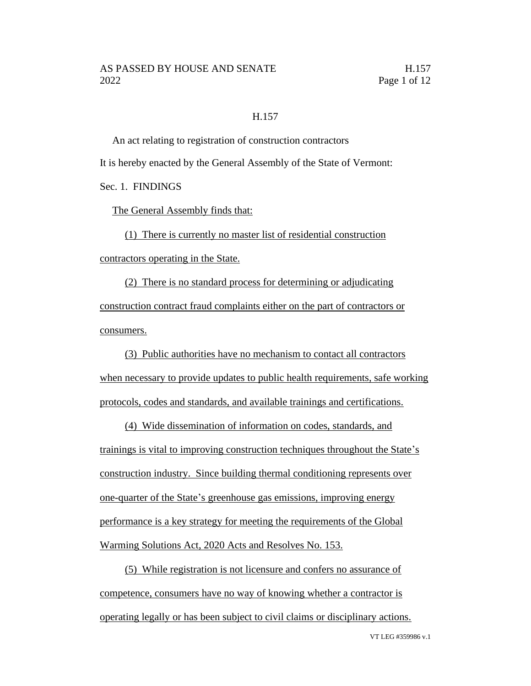### H.157

An act relating to registration of construction contractors It is hereby enacted by the General Assembly of the State of Vermont: Sec. 1. FINDINGS

The General Assembly finds that:

(1) There is currently no master list of residential construction contractors operating in the State.

(2) There is no standard process for determining or adjudicating construction contract fraud complaints either on the part of contractors or consumers.

(3) Public authorities have no mechanism to contact all contractors when necessary to provide updates to public health requirements, safe working protocols, codes and standards, and available trainings and certifications.

(4) Wide dissemination of information on codes, standards, and trainings is vital to improving construction techniques throughout the State's construction industry. Since building thermal conditioning represents over one-quarter of the State's greenhouse gas emissions, improving energy performance is a key strategy for meeting the requirements of the Global Warming Solutions Act, 2020 Acts and Resolves No. 153.

(5) While registration is not licensure and confers no assurance of competence, consumers have no way of knowing whether a contractor is operating legally or has been subject to civil claims or disciplinary actions.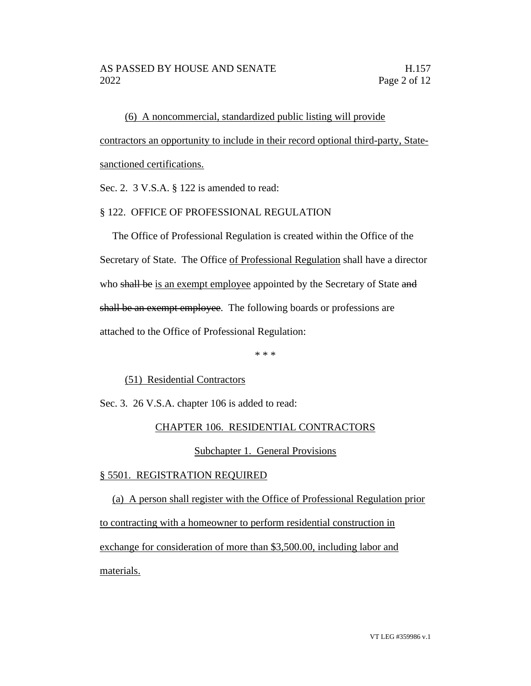(6) A noncommercial, standardized public listing will provide contractors an opportunity to include in their record optional third-party, Statesanctioned certifications.

Sec. 2. 3 V.S.A. § 122 is amended to read:

# § 122. OFFICE OF PROFESSIONAL REGULATION

The Office of Professional Regulation is created within the Office of the Secretary of State. The Office of Professional Regulation shall have a director who shall be is an exempt employee appointed by the Secretary of State and shall be an exempt employee. The following boards or professions are attached to the Office of Professional Regulation:

\* \* \*

### (51) Residential Contractors

Sec. 3. 26 V.S.A. chapter 106 is added to read:

# CHAPTER 106. RESIDENTIAL CONTRACTORS

### Subchapter 1. General Provisions

### § 5501. REGISTRATION REQUIRED

(a) A person shall register with the Office of Professional Regulation prior to contracting with a homeowner to perform residential construction in exchange for consideration of more than \$3,500.00, including labor and materials.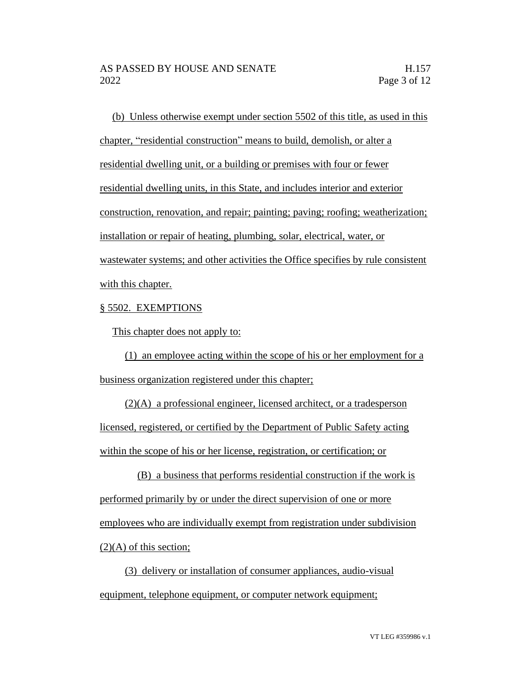(b) Unless otherwise exempt under section 5502 of this title, as used in this chapter, "residential construction" means to build, demolish, or alter a residential dwelling unit, or a building or premises with four or fewer residential dwelling units, in this State, and includes interior and exterior construction, renovation, and repair; painting; paving; roofing; weatherization; installation or repair of heating, plumbing, solar, electrical, water, or wastewater systems; and other activities the Office specifies by rule consistent with this chapter.

# § 5502. EXEMPTIONS

This chapter does not apply to:

(1) an employee acting within the scope of his or her employment for a business organization registered under this chapter;

(2)(A) a professional engineer, licensed architect, or a tradesperson licensed, registered, or certified by the Department of Public Safety acting within the scope of his or her license, registration, or certification; or

(B) a business that performs residential construction if the work is performed primarily by or under the direct supervision of one or more employees who are individually exempt from registration under subdivision  $(2)(A)$  of this section;

(3) delivery or installation of consumer appliances, audio-visual equipment, telephone equipment, or computer network equipment;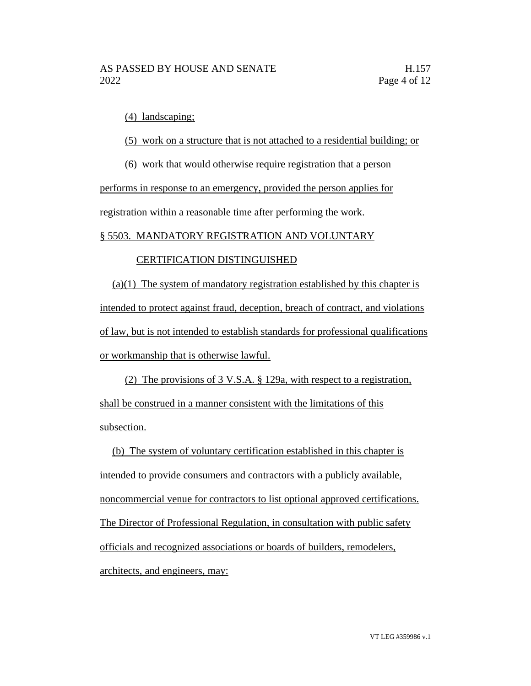(4) landscaping;

(5) work on a structure that is not attached to a residential building; or

(6) work that would otherwise require registration that a person

performs in response to an emergency, provided the person applies for registration within a reasonable time after performing the work.

## § 5503. MANDATORY REGISTRATION AND VOLUNTARY

# CERTIFICATION DISTINGUISHED

(a)(1) The system of mandatory registration established by this chapter is intended to protect against fraud, deception, breach of contract, and violations of law, but is not intended to establish standards for professional qualifications or workmanship that is otherwise lawful.

(2) The provisions of 3 V.S.A. § 129a, with respect to a registration, shall be construed in a manner consistent with the limitations of this subsection.

(b) The system of voluntary certification established in this chapter is intended to provide consumers and contractors with a publicly available, noncommercial venue for contractors to list optional approved certifications. The Director of Professional Regulation, in consultation with public safety officials and recognized associations or boards of builders, remodelers, architects, and engineers, may: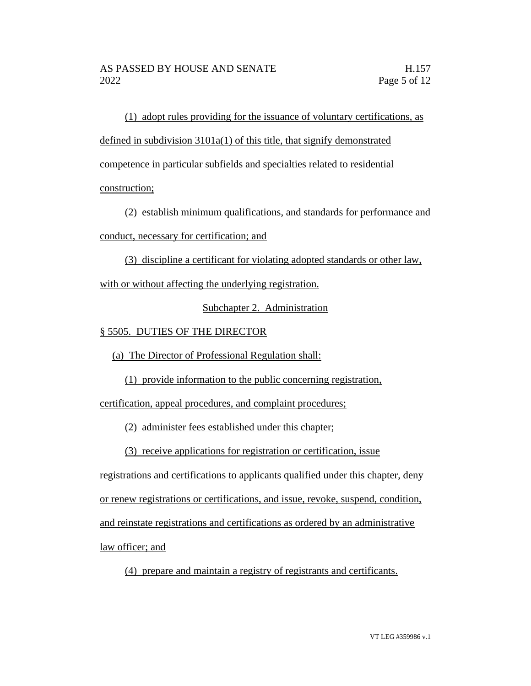(1) adopt rules providing for the issuance of voluntary certifications, as defined in subdivision 3101a(1) of this title, that signify demonstrated competence in particular subfields and specialties related to residential construction;

(2) establish minimum qualifications, and standards for performance and conduct, necessary for certification; and

(3) discipline a certificant for violating adopted standards or other law,

with or without affecting the underlying registration.

Subchapter 2. Administration

# § 5505. DUTIES OF THE DIRECTOR

(a) The Director of Professional Regulation shall:

(1) provide information to the public concerning registration,

certification, appeal procedures, and complaint procedures;

(2) administer fees established under this chapter;

(3) receive applications for registration or certification, issue

registrations and certifications to applicants qualified under this chapter, deny

or renew registrations or certifications, and issue, revoke, suspend, condition,

and reinstate registrations and certifications as ordered by an administrative

law officer; and

(4) prepare and maintain a registry of registrants and certificants.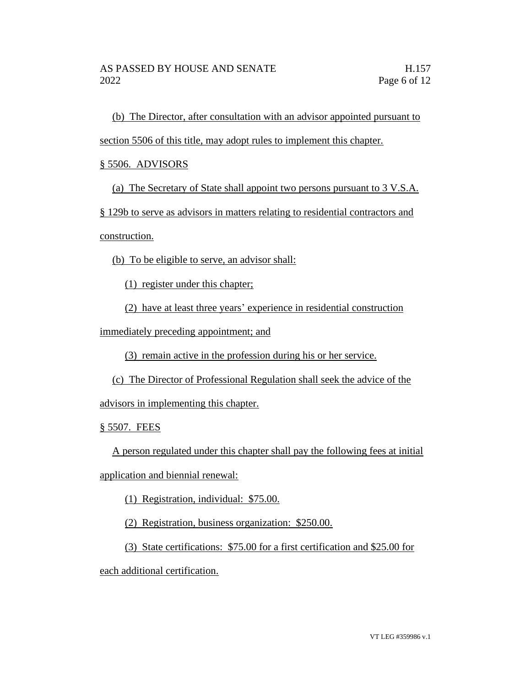(b) The Director, after consultation with an advisor appointed pursuant to

section 5506 of this title, may adopt rules to implement this chapter.

§ 5506. ADVISORS

(a) The Secretary of State shall appoint two persons pursuant to 3 V.S.A.

§ 129b to serve as advisors in matters relating to residential contractors and

construction.

(b) To be eligible to serve, an advisor shall:

(1) register under this chapter;

(2) have at least three years' experience in residential construction

immediately preceding appointment; and

(3) remain active in the profession during his or her service.

(c) The Director of Professional Regulation shall seek the advice of the

advisors in implementing this chapter.

§ 5507. FEES

A person regulated under this chapter shall pay the following fees at initial

application and biennial renewal:

(1) Registration, individual: \$75.00.

(2) Registration, business organization: \$250.00.

(3) State certifications: \$75.00 for a first certification and \$25.00 for

each additional certification.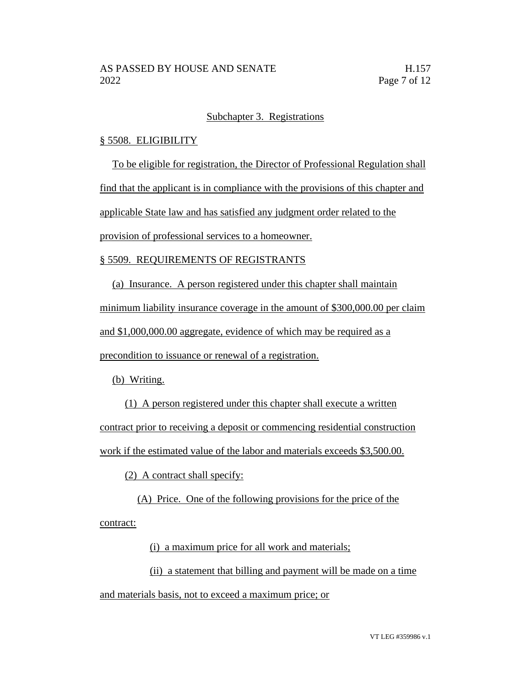### Subchapter 3. Registrations

### § 5508. ELIGIBILITY

To be eligible for registration, the Director of Professional Regulation shall

find that the applicant is in compliance with the provisions of this chapter and

applicable State law and has satisfied any judgment order related to the

provision of professional services to a homeowner.

## § 5509. REQUIREMENTS OF REGISTRANTS

(a) Insurance. A person registered under this chapter shall maintain

minimum liability insurance coverage in the amount of \$300,000.00 per claim

and \$1,000,000.00 aggregate, evidence of which may be required as a

precondition to issuance or renewal of a registration.

(b) Writing.

(1) A person registered under this chapter shall execute a written contract prior to receiving a deposit or commencing residential construction work if the estimated value of the labor and materials exceeds \$3,500.00.

(2) A contract shall specify:

(A) Price. One of the following provisions for the price of the contract:

(i) a maximum price for all work and materials;

(ii) a statement that billing and payment will be made on a time and materials basis, not to exceed a maximum price; or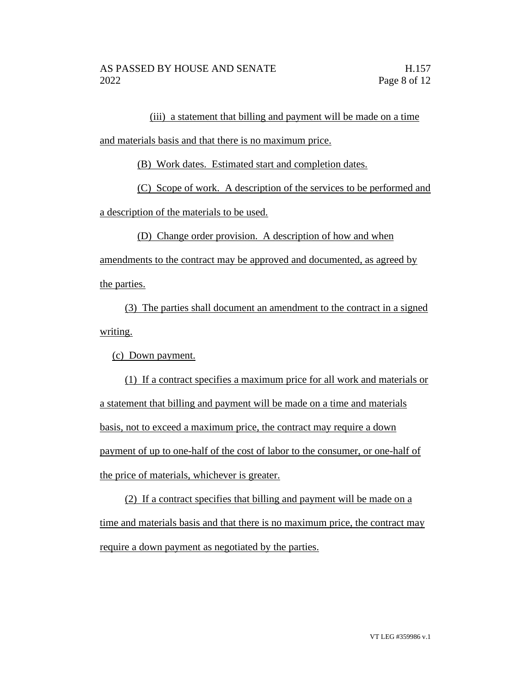(iii) a statement that billing and payment will be made on a time

and materials basis and that there is no maximum price.

(B) Work dates. Estimated start and completion dates.

(C) Scope of work. A description of the services to be performed and

a description of the materials to be used.

(D) Change order provision. A description of how and when

amendments to the contract may be approved and documented, as agreed by the parties.

(3) The parties shall document an amendment to the contract in a signed writing.

(c) Down payment.

(1) If a contract specifies a maximum price for all work and materials or a statement that billing and payment will be made on a time and materials basis, not to exceed a maximum price, the contract may require a down payment of up to one-half of the cost of labor to the consumer, or one-half of the price of materials, whichever is greater.

(2) If a contract specifies that billing and payment will be made on a time and materials basis and that there is no maximum price, the contract may require a down payment as negotiated by the parties.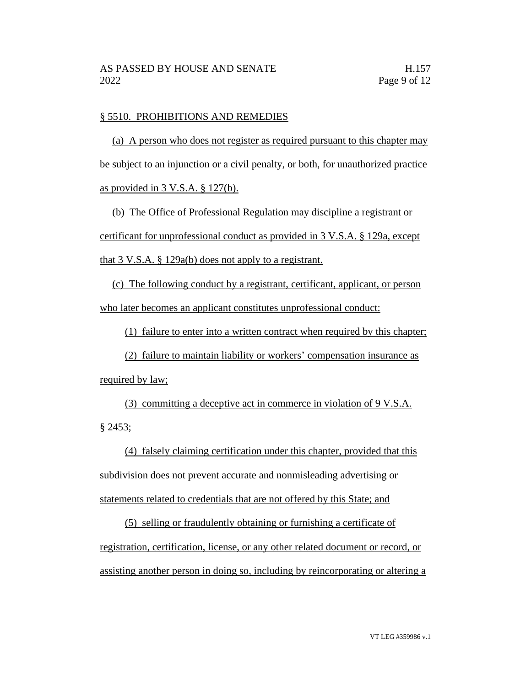### § 5510. PROHIBITIONS AND REMEDIES

(a) A person who does not register as required pursuant to this chapter may be subject to an injunction or a civil penalty, or both, for unauthorized practice as provided in 3 V.S.A. § 127(b).

(b) The Office of Professional Regulation may discipline a registrant or certificant for unprofessional conduct as provided in 3 V.S.A. § 129a, except that 3 V.S.A. § 129a(b) does not apply to a registrant.

(c) The following conduct by a registrant, certificant, applicant, or person who later becomes an applicant constitutes unprofessional conduct:

(1) failure to enter into a written contract when required by this chapter;

(2) failure to maintain liability or workers' compensation insurance as required by law;

(3) committing a deceptive act in commerce in violation of 9 V.S.A. § 2453;

(4) falsely claiming certification under this chapter, provided that this subdivision does not prevent accurate and nonmisleading advertising or statements related to credentials that are not offered by this State; and

(5) selling or fraudulently obtaining or furnishing a certificate of registration, certification, license, or any other related document or record, or assisting another person in doing so, including by reincorporating or altering a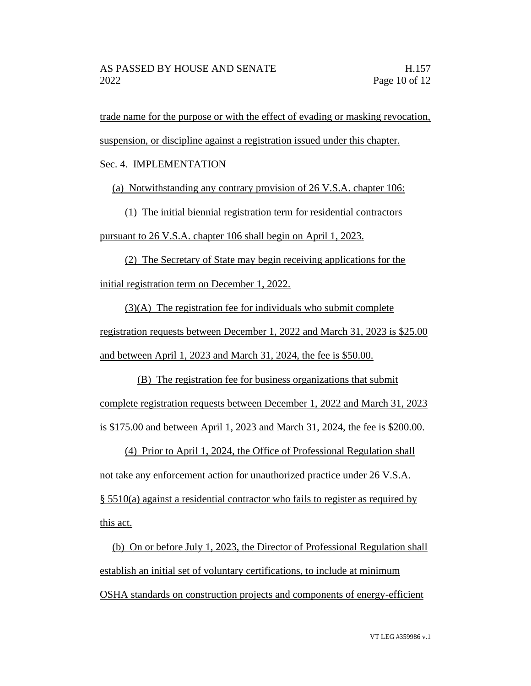trade name for the purpose or with the effect of evading or masking revocation,

suspension, or discipline against a registration issued under this chapter.

Sec. 4. IMPLEMENTATION

(a) Notwithstanding any contrary provision of 26 V.S.A. chapter 106:

(1) The initial biennial registration term for residential contractors pursuant to 26 V.S.A. chapter 106 shall begin on April 1, 2023.

(2) The Secretary of State may begin receiving applications for the initial registration term on December 1, 2022.

(3)(A) The registration fee for individuals who submit complete registration requests between December 1, 2022 and March 31, 2023 is \$25.00 and between April 1, 2023 and March 31, 2024, the fee is \$50.00.

(B) The registration fee for business organizations that submit complete registration requests between December 1, 2022 and March 31, 2023 is \$175.00 and between April 1, 2023 and March 31, 2024, the fee is \$200.00.

(4) Prior to April 1, 2024, the Office of Professional Regulation shall not take any enforcement action for unauthorized practice under 26 V.S.A. § 5510(a) against a residential contractor who fails to register as required by this act.

(b) On or before July 1, 2023, the Director of Professional Regulation shall establish an initial set of voluntary certifications, to include at minimum OSHA standards on construction projects and components of energy-efficient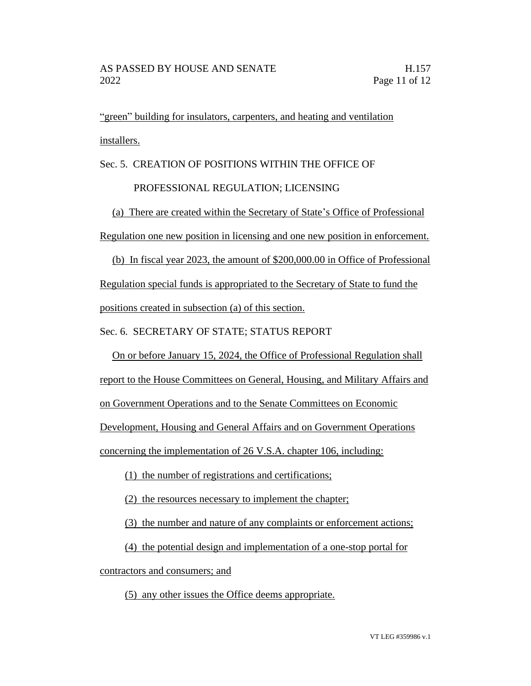"green" building for insulators, carpenters, and heating and ventilation installers.

Sec. 5. CREATION OF POSITIONS WITHIN THE OFFICE OF

# PROFESSIONAL REGULATION; LICENSING

(a) There are created within the Secretary of State's Office of Professional Regulation one new position in licensing and one new position in enforcement.

(b) In fiscal year 2023, the amount of \$200,000.00 in Office of Professional Regulation special funds is appropriated to the Secretary of State to fund the positions created in subsection (a) of this section.

Sec. 6. SECRETARY OF STATE; STATUS REPORT

On or before January 15, 2024, the Office of Professional Regulation shall

report to the House Committees on General, Housing, and Military Affairs and

on Government Operations and to the Senate Committees on Economic

Development, Housing and General Affairs and on Government Operations

concerning the implementation of 26 V.S.A. chapter 106, including:

(1) the number of registrations and certifications;

(2) the resources necessary to implement the chapter;

(3) the number and nature of any complaints or enforcement actions;

(4) the potential design and implementation of a one-stop portal for

contractors and consumers; and

(5) any other issues the Office deems appropriate.